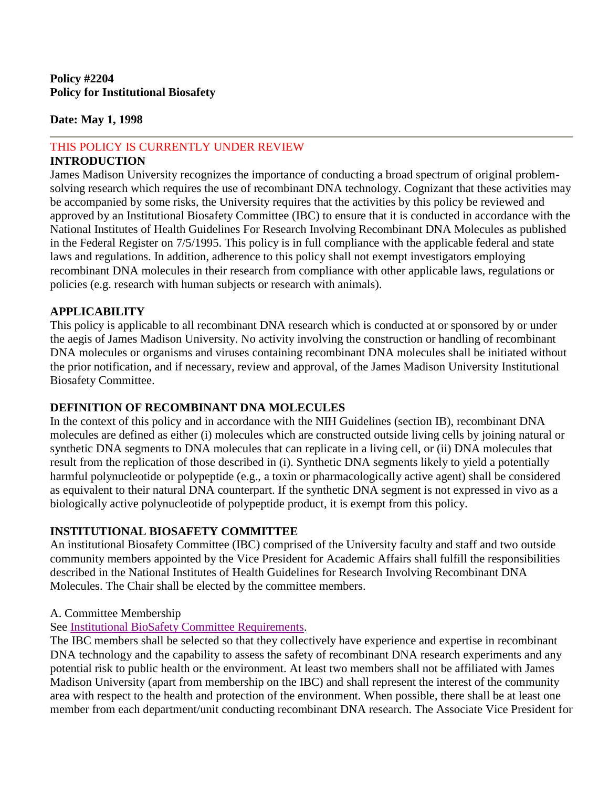#### **Date: May 1, 1998**

# THIS POLICY IS CURRENTLY UNDER REVIEW

## **INTRODUCTION**

James Madison University recognizes the importance of conducting a broad spectrum of original problemsolving research which requires the use of recombinant DNA technology. Cognizant that these activities may be accompanied by some risks, the University requires that the activities by this policy be reviewed and approved by an Institutional Biosafety Committee (IBC) to ensure that it is conducted in accordance with the National Institutes of Health Guidelines For Research Involving Recombinant DNA Molecules as published in the Federal Register on 7/5/1995. This policy is in full compliance with the applicable federal and state laws and regulations. In addition, adherence to this policy shall not exempt investigators employing recombinant DNA molecules in their research from compliance with other applicable laws, regulations or policies (e.g. research with human subjects or research with animals).

## **APPLICABILITY**

This policy is applicable to all recombinant DNA research which is conducted at or sponsored by or under the aegis of James Madison University. No activity involving the construction or handling of recombinant DNA molecules or organisms and viruses containing recombinant DNA molecules shall be initiated without the prior notification, and if necessary, review and approval, of the James Madison University Institutional Biosafety Committee.

## **DEFINITION OF RECOMBINANT DNA MOLECULES**

In the context of this policy and in accordance with the NIH Guidelines (section IB), recombinant DNA molecules are defined as either (i) molecules which are constructed outside living cells by joining natural or synthetic DNA segments to DNA molecules that can replicate in a living cell, or (ii) DNA molecules that result from the replication of those described in (i). Synthetic DNA segments likely to yield a potentially harmful polynucleotide or polypeptide (e.g., a toxin or pharmacologically active agent) shall be considered as equivalent to their natural DNA counterpart. If the synthetic DNA segment is not expressed in vivo as a biologically active polynucleotide of polypeptide product, it is exempt from this policy.

## **INSTITUTIONAL BIOSAFETY COMMITTEE**

An institutional Biosafety Committee (IBC) comprised of the University faculty and staff and two outside community members appointed by the Vice President for Academic Affairs shall fulfill the responsibilities described in the National Institutes of Health Guidelines for Research Involving Recombinant DNA Molecules. The Chair shall be elected by the committee members.

## A. Committee Membership

## See [Institutional BioSafety Committee Requirements.](https://osp.od.nih.gov/biotechnology/institutional-biosafety-committees/)

The IBC members shall be selected so that they collectively have experience and expertise in recombinant DNA technology and the capability to assess the safety of recombinant DNA research experiments and any potential risk to public health or the environment. At least two members shall not be affiliated with James Madison University (apart from membership on the IBC) and shall represent the interest of the community area with respect to the health and protection of the environment. When possible, there shall be at least one member from each department/unit conducting recombinant DNA research. The Associate Vice President for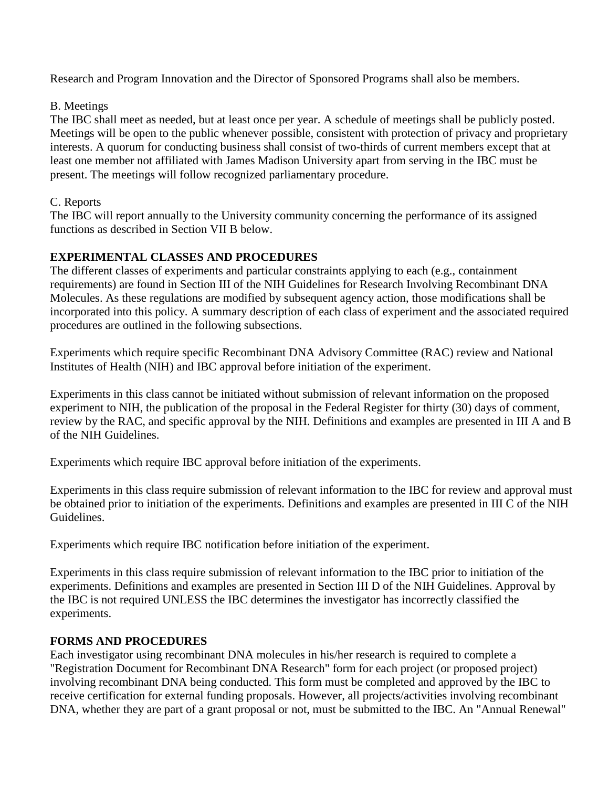Research and Program Innovation and the Director of Sponsored Programs shall also be members.

## B. Meetings

The IBC shall meet as needed, but at least once per year. A schedule of meetings shall be publicly posted. Meetings will be open to the public whenever possible, consistent with protection of privacy and proprietary interests. A quorum for conducting business shall consist of two-thirds of current members except that at least one member not affiliated with James Madison University apart from serving in the IBC must be present. The meetings will follow recognized parliamentary procedure.

## C. Reports

The IBC will report annually to the University community concerning the performance of its assigned functions as described in Section VII B below.

# **EXPERIMENTAL CLASSES AND PROCEDURES**

The different classes of experiments and particular constraints applying to each (e.g., containment requirements) are found in Section III of the NIH Guidelines for Research Involving Recombinant DNA Molecules. As these regulations are modified by subsequent agency action, those modifications shall be incorporated into this policy. A summary description of each class of experiment and the associated required procedures are outlined in the following subsections.

Experiments which require specific Recombinant DNA Advisory Committee (RAC) review and National Institutes of Health (NIH) and IBC approval before initiation of the experiment.

Experiments in this class cannot be initiated without submission of relevant information on the proposed experiment to NIH, the publication of the proposal in the Federal Register for thirty (30) days of comment, review by the RAC, and specific approval by the NIH. Definitions and examples are presented in III A and B of the NIH Guidelines.

Experiments which require IBC approval before initiation of the experiments.

Experiments in this class require submission of relevant information to the IBC for review and approval must be obtained prior to initiation of the experiments. Definitions and examples are presented in III C of the NIH Guidelines.

Experiments which require IBC notification before initiation of the experiment.

Experiments in this class require submission of relevant information to the IBC prior to initiation of the experiments. Definitions and examples are presented in Section III D of the NIH Guidelines. Approval by the IBC is not required UNLESS the IBC determines the investigator has incorrectly classified the experiments.

# **FORMS AND PROCEDURES**

Each investigator using recombinant DNA molecules in his/her research is required to complete a "Registration Document for Recombinant DNA Research" form for each project (or proposed project) involving recombinant DNA being conducted. This form must be completed and approved by the IBC to receive certification for external funding proposals. However, all projects/activities involving recombinant DNA, whether they are part of a grant proposal or not, must be submitted to the IBC. An "Annual Renewal"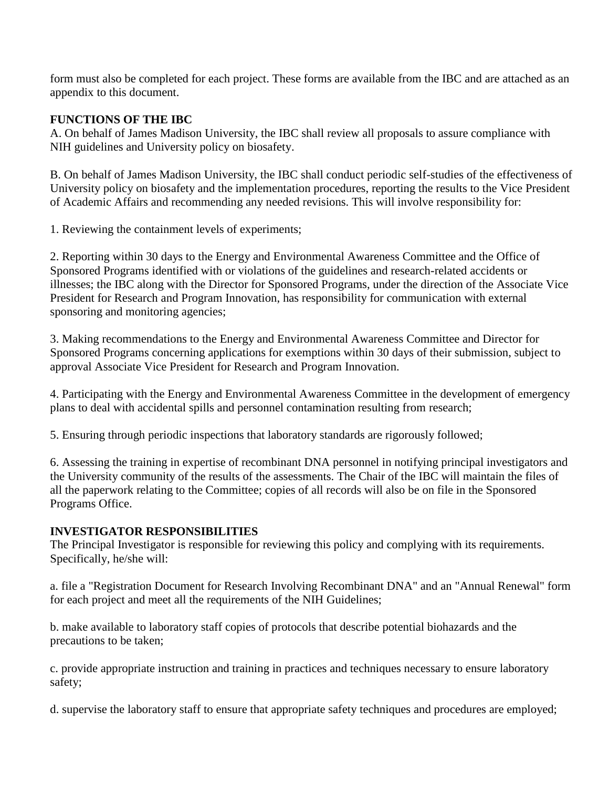form must also be completed for each project. These forms are available from the IBC and are attached as an appendix to this document.

## **FUNCTIONS OF THE IBC**

A. On behalf of James Madison University, the IBC shall review all proposals to assure compliance with NIH guidelines and University policy on biosafety.

B. On behalf of James Madison University, the IBC shall conduct periodic self-studies of the effectiveness of University policy on biosafety and the implementation procedures, reporting the results to the Vice President of Academic Affairs and recommending any needed revisions. This will involve responsibility for:

1. Reviewing the containment levels of experiments;

2. Reporting within 30 days to the Energy and Environmental Awareness Committee and the Office of Sponsored Programs identified with or violations of the guidelines and research-related accidents or illnesses; the IBC along with the Director for Sponsored Programs, under the direction of the Associate Vice President for Research and Program Innovation, has responsibility for communication with external sponsoring and monitoring agencies;

3. Making recommendations to the Energy and Environmental Awareness Committee and Director for Sponsored Programs concerning applications for exemptions within 30 days of their submission, subject to approval Associate Vice President for Research and Program Innovation.

4. Participating with the Energy and Environmental Awareness Committee in the development of emergency plans to deal with accidental spills and personnel contamination resulting from research;

5. Ensuring through periodic inspections that laboratory standards are rigorously followed;

6. Assessing the training in expertise of recombinant DNA personnel in notifying principal investigators and the University community of the results of the assessments. The Chair of the IBC will maintain the files of all the paperwork relating to the Committee; copies of all records will also be on file in the Sponsored Programs Office.

# **INVESTIGATOR RESPONSIBILITIES**

The Principal Investigator is responsible for reviewing this policy and complying with its requirements. Specifically, he/she will:

a. file a "Registration Document for Research Involving Recombinant DNA" and an "Annual Renewal" form for each project and meet all the requirements of the NIH Guidelines;

b. make available to laboratory staff copies of protocols that describe potential biohazards and the precautions to be taken;

c. provide appropriate instruction and training in practices and techniques necessary to ensure laboratory safety;

d. supervise the laboratory staff to ensure that appropriate safety techniques and procedures are employed;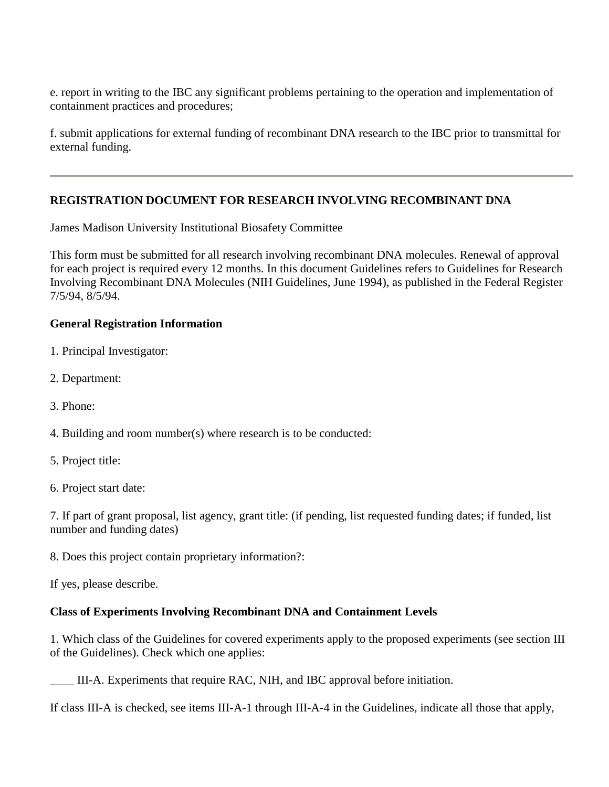e. report in writing to the IBC any significant problems pertaining to the operation and implementation of containment practices and procedures;

f. submit applications for external funding of recombinant DNA research to the IBC prior to transmittal for external funding.

# **REGISTRATION DOCUMENT FOR RESEARCH INVOLVING RECOMBINANT DNA**

James Madison University Institutional Biosafety Committee

This form must be submitted for all research involving recombinant DNA molecules. Renewal of approval for each project is required every 12 months. In this document Guidelines refers to Guidelines for Research Involving Recombinant DNA Molecules (NIH Guidelines, June 1994), as published in the Federal Register 7/5/94, 8/5/94.

## **General Registration Information**

- 1. Principal Investigator:
- 2. Department:
- 3. Phone:
- 4. Building and room number(s) where research is to be conducted:
- 5. Project title:
- 6. Project start date:

7. If part of grant proposal, list agency, grant title: (if pending, list requested funding dates; if funded, list number and funding dates)

8. Does this project contain proprietary information?:

If yes, please describe.

## **Class of Experiments Involving Recombinant DNA and Containment Levels**

1. Which class of the Guidelines for covered experiments apply to the proposed experiments (see section III of the Guidelines). Check which one applies:

\_\_\_\_ III-A. Experiments that require RAC, NIH, and IBC approval before initiation.

If class III-A is checked, see items III-A-1 through III-A-4 in the Guidelines, indicate all those that apply,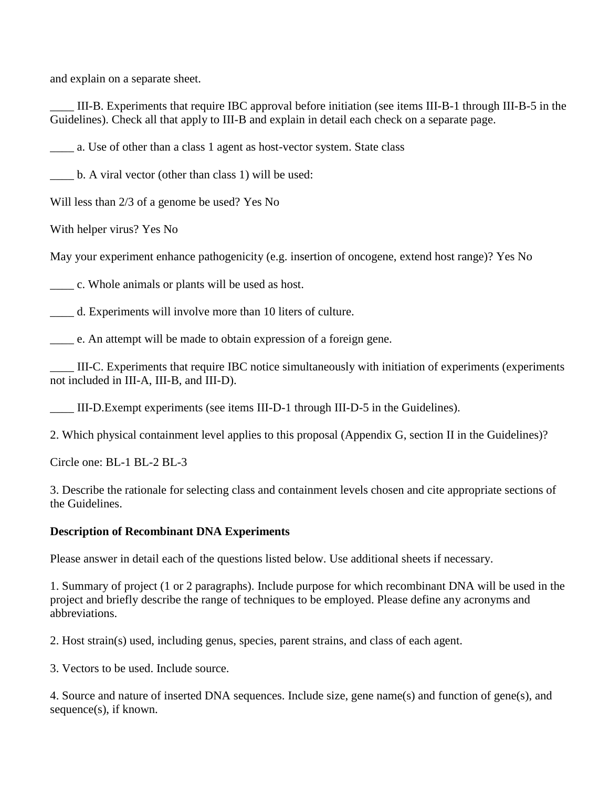and explain on a separate sheet.

\_\_\_\_ III-B. Experiments that require IBC approval before initiation (see items III-B-1 through III-B-5 in the Guidelines). Check all that apply to III-B and explain in detail each check on a separate page.

\_\_\_\_ a. Use of other than a class 1 agent as host-vector system. State class

\_\_\_\_ b. A viral vector (other than class 1) will be used:

Will less than 2/3 of a genome be used? Yes No

With helper virus? Yes No

May your experiment enhance pathogenicity (e.g. insertion of oncogene, extend host range)? Yes No

\_\_\_\_ c. Whole animals or plants will be used as host.

\_\_\_\_ d. Experiments will involve more than 10 liters of culture.

\_\_\_\_ e. An attempt will be made to obtain expression of a foreign gene.

\_\_\_\_ III-C. Experiments that require IBC notice simultaneously with initiation of experiments (experiments not included in III-A, III-B, and III-D).

\_\_\_\_ III-D.Exempt experiments (see items III-D-1 through III-D-5 in the Guidelines).

2. Which physical containment level applies to this proposal (Appendix G, section II in the Guidelines)?

Circle one: BL-1 BL-2 BL-3

3. Describe the rationale for selecting class and containment levels chosen and cite appropriate sections of the Guidelines.

#### **Description of Recombinant DNA Experiments**

Please answer in detail each of the questions listed below. Use additional sheets if necessary.

1. Summary of project (1 or 2 paragraphs). Include purpose for which recombinant DNA will be used in the project and briefly describe the range of techniques to be employed. Please define any acronyms and abbreviations.

2. Host strain(s) used, including genus, species, parent strains, and class of each agent.

3. Vectors to be used. Include source.

4. Source and nature of inserted DNA sequences. Include size, gene name(s) and function of gene(s), and sequence(s), if known.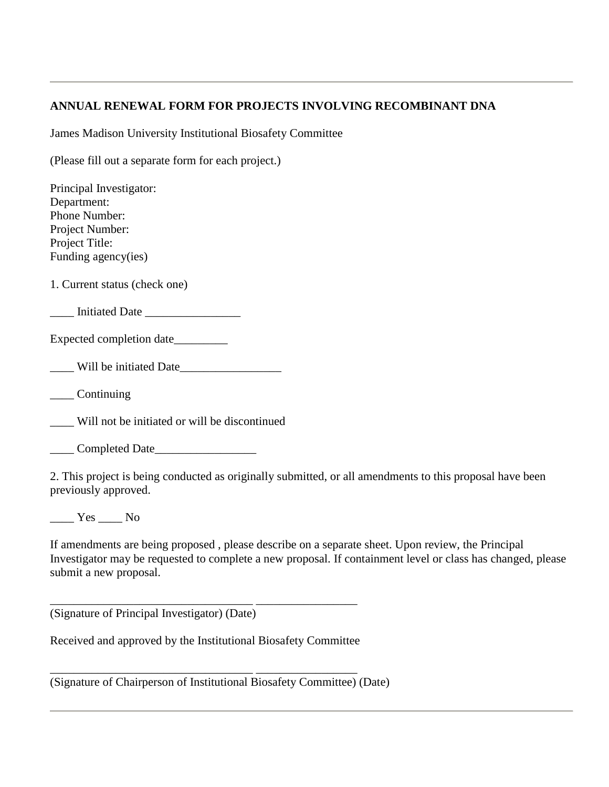## **ANNUAL RENEWAL FORM FOR PROJECTS INVOLVING RECOMBINANT DNA**

James Madison University Institutional Biosafety Committee

(Please fill out a separate form for each project.)

| Principal Investigator:                              |
|------------------------------------------------------|
| Department:                                          |
| Phone Number:                                        |
| Project Number:                                      |
| Project Title:                                       |
| Funding agency(ies)                                  |
| 1. Current status (check one)                        |
| <u>Lace Initiated Date</u>                           |
| Expected completion date__________                   |
| Will be initiated Date                               |
| $\_\_$ Continuing                                    |
| Will not be initiated or will be discontinued        |
| Completed Date                                       |
| 2. This project is being conducted as originally sum |

ubmitted, or all amendments to this proposal have been previously approved.

 $\frac{1}{\sqrt{1-\frac{1}{c}}}$  Yes  $\frac{1}{\sqrt{1-\frac{1}{c}}}$  No

If amendments are being proposed , please describe on a separate sheet. Upon review, the Principal Investigator may be requested to complete a new proposal. If containment level or class has changed, please submit a new proposal.

(Signature of Principal Investigator) (Date)

Received and approved by the Institutional Biosafety Committee

\_\_\_\_\_\_\_\_\_\_\_\_\_\_\_\_\_\_\_\_\_\_\_\_\_\_\_\_\_\_\_\_\_\_ \_\_\_\_\_\_\_\_\_\_\_\_\_\_\_\_\_

\_\_\_\_\_\_\_\_\_\_\_\_\_\_\_\_\_\_\_\_\_\_\_\_\_\_\_\_\_\_\_\_\_\_ \_\_\_\_\_\_\_\_\_\_\_\_\_\_\_\_\_

(Signature of Chairperson of Institutional Biosafety Committee) (Date)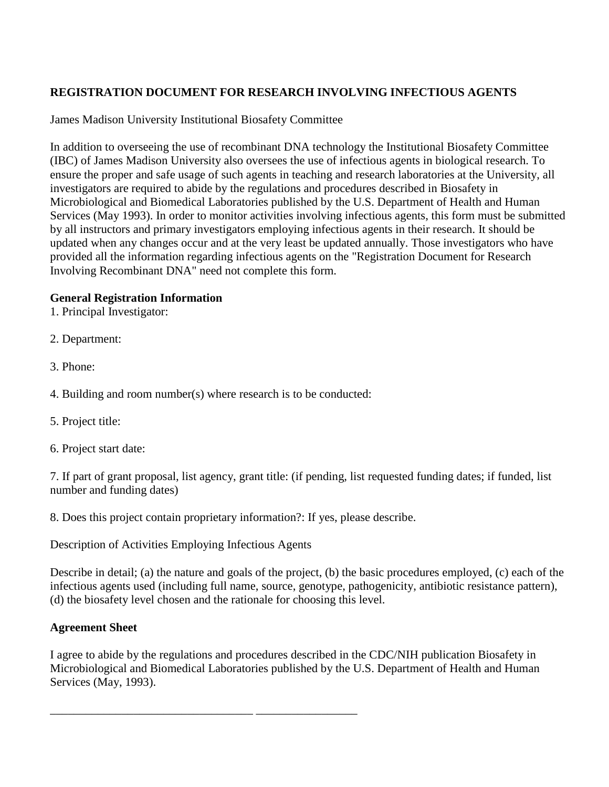# **REGISTRATION DOCUMENT FOR RESEARCH INVOLVING INFECTIOUS AGENTS**

James Madison University Institutional Biosafety Committee

In addition to overseeing the use of recombinant DNA technology the Institutional Biosafety Committee (IBC) of James Madison University also oversees the use of infectious agents in biological research. To ensure the proper and safe usage of such agents in teaching and research laboratories at the University, all investigators are required to abide by the regulations and procedures described in Biosafety in Microbiological and Biomedical Laboratories published by the U.S. Department of Health and Human Services (May 1993). In order to monitor activities involving infectious agents, this form must be submitted by all instructors and primary investigators employing infectious agents in their research. It should be updated when any changes occur and at the very least be updated annually. Those investigators who have provided all the information regarding infectious agents on the "Registration Document for Research Involving Recombinant DNA" need not complete this form.

## **General Registration Information**

1. Principal Investigator:

- 2. Department:
- 3. Phone:
- 4. Building and room number(s) where research is to be conducted:
- 5. Project title:
- 6. Project start date:

7. If part of grant proposal, list agency, grant title: (if pending, list requested funding dates; if funded, list number and funding dates)

8. Does this project contain proprietary information?: If yes, please describe.

Description of Activities Employing Infectious Agents

\_\_\_\_\_\_\_\_\_\_\_\_\_\_\_\_\_\_\_\_\_\_\_\_\_\_\_\_\_\_\_\_\_\_ \_\_\_\_\_\_\_\_\_\_\_\_\_\_\_\_\_

Describe in detail; (a) the nature and goals of the project, (b) the basic procedures employed, (c) each of the infectious agents used (including full name, source, genotype, pathogenicity, antibiotic resistance pattern), (d) the biosafety level chosen and the rationale for choosing this level.

# **Agreement Sheet**

I agree to abide by the regulations and procedures described in the CDC/NIH publication Biosafety in Microbiological and Biomedical Laboratories published by the U.S. Department of Health and Human Services (May, 1993).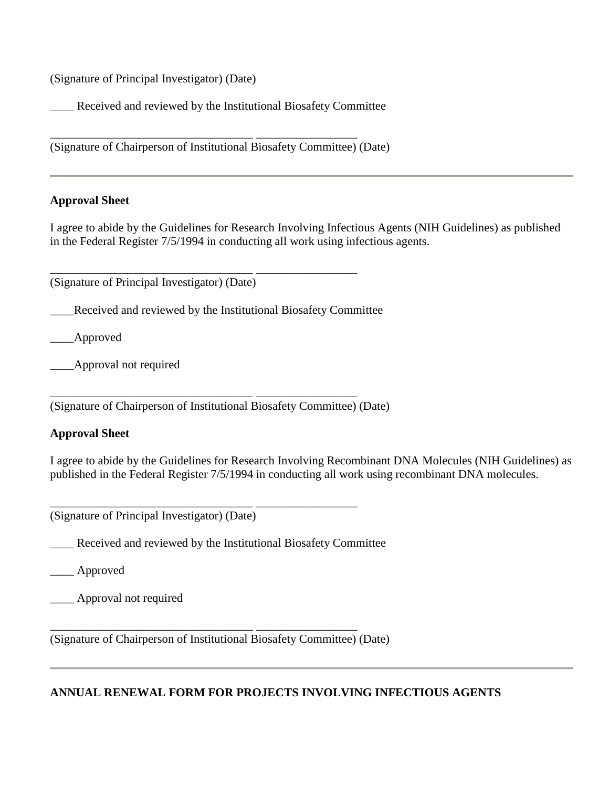(Signature of Principal Investigator) (Date)

\_\_\_\_ Received and reviewed by the Institutional Biosafety Committee

(Signature of Chairperson of Institutional Biosafety Committee) (Date)

\_\_\_\_\_\_\_\_\_\_\_\_\_\_\_\_\_\_\_\_\_\_\_\_\_\_\_\_\_\_\_\_\_\_ \_\_\_\_\_\_\_\_\_\_\_\_\_\_\_\_\_

#### **Approval Sheet**

I agree to abide by the Guidelines for Research Involving Infectious Agents (NIH Guidelines) as published in the Federal Register 7/5/1994 in conducting all work using infectious agents.

(Signature of Principal Investigator) (Date)

\_\_\_\_Received and reviewed by the Institutional Biosafety Committee

\_\_\_\_\_\_\_\_\_\_\_\_\_\_\_\_\_\_\_\_\_\_\_\_\_\_\_\_\_\_\_\_\_\_ \_\_\_\_\_\_\_\_\_\_\_\_\_\_\_\_\_

\_\_\_\_Approved

\_\_\_\_Approval not required

(Signature of Chairperson of Institutional Biosafety Committee) (Date)

\_\_\_\_\_\_\_\_\_\_\_\_\_\_\_\_\_\_\_\_\_\_\_\_\_\_\_\_\_\_\_\_\_\_ \_\_\_\_\_\_\_\_\_\_\_\_\_\_\_\_\_

#### **Approval Sheet**

I agree to abide by the Guidelines for Research Involving Recombinant DNA Molecules (NIH Guidelines) as published in the Federal Register 7/5/1994 in conducting all work using recombinant DNA molecules.

(Signature of Principal Investigator) (Date)

\_\_\_\_ Received and reviewed by the Institutional Biosafety Committee

\_\_\_\_\_\_\_\_\_\_\_\_\_\_\_\_\_\_\_\_\_\_\_\_\_\_\_\_\_\_\_\_\_\_ \_\_\_\_\_\_\_\_\_\_\_\_\_\_\_\_\_

\_\_\_\_ Approved

\_\_\_\_ Approval not required

(Signature of Chairperson of Institutional Biosafety Committee) (Date)

\_\_\_\_\_\_\_\_\_\_\_\_\_\_\_\_\_\_\_\_\_\_\_\_\_\_\_\_\_\_\_\_\_\_ \_\_\_\_\_\_\_\_\_\_\_\_\_\_\_\_\_

## **ANNUAL RENEWAL FORM FOR PROJECTS INVOLVING INFECTIOUS AGENTS**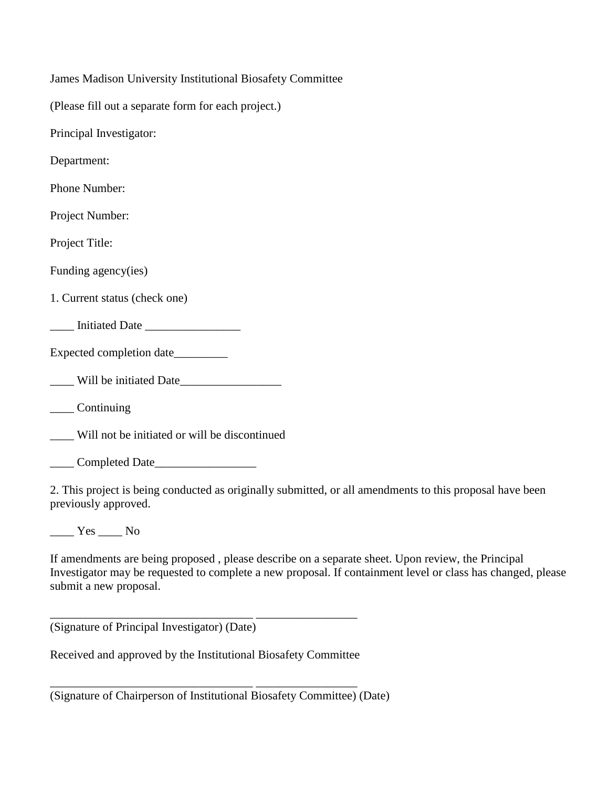| James Madison University Institutional Biosafety Committee     |
|----------------------------------------------------------------|
| (Please fill out a separate form for each project.)            |
| Principal Investigator:                                        |
| Department:                                                    |
| Phone Number:                                                  |
| Project Number:                                                |
| Project Title:                                                 |
| Funding agency(ies)                                            |
| 1. Current status (check one)                                  |
| Initiated Date                                                 |
| Expected completion date                                       |
| Will be initiated Date                                         |
| $\_\_$ Continuing                                              |
| _____ Will not be initiated or will be discontinued            |
| Completed Date                                                 |
| 2. This project is being conducted as originally submitted, or |

all amendments to this proposal have been previously approved.

 $\_\_\_\$  Yes  $\_\_\_\$  No

If amendments are being proposed , please describe on a separate sheet. Upon review, the Principal Investigator may be requested to complete a new proposal. If containment level or class has changed, please submit a new proposal.

(Signature of Principal Investigator) (Date)

Received and approved by the Institutional Biosafety Committee

\_\_\_\_\_\_\_\_\_\_\_\_\_\_\_\_\_\_\_\_\_\_\_\_\_\_\_\_\_\_\_\_\_\_ \_\_\_\_\_\_\_\_\_\_\_\_\_\_\_\_\_

\_\_\_\_\_\_\_\_\_\_\_\_\_\_\_\_\_\_\_\_\_\_\_\_\_\_\_\_\_\_\_\_\_\_ \_\_\_\_\_\_\_\_\_\_\_\_\_\_\_\_\_

(Signature of Chairperson of Institutional Biosafety Committee) (Date)